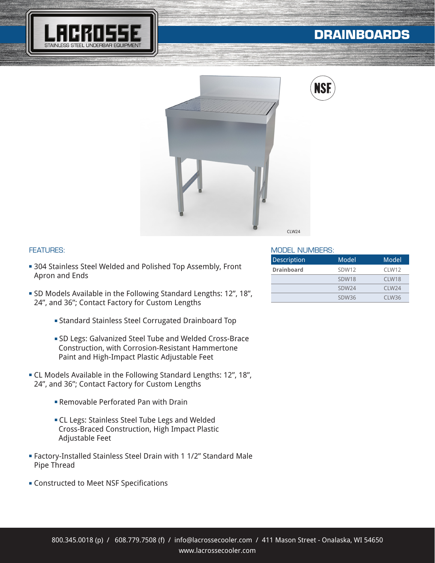

# **DRAINBOARDS**





### FEATURES:

- **304 Stainless Steel Welded and Polished Top Assembly, Front** Apron and Ends
- **SD Models Available in the Following Standard Lengths: 12", 18",** 24", and 36"; Contact Factory for Custom Lengths
	- **Example 3 Standard Stainless Steel Corrugated Drainboard Top**
	- <sup>n</sup> SD Legs: Galvanized Steel Tube and Welded Cross-Brace Construction, with Corrosion-Resistant Hammertone Paint and High-Impact Plastic Adjustable Feet
- **EXEL Models Available in the Following Standard Lengths: 12", 18",** 24", and 36"; Contact Factory for Custom Lengths
	- **Example Perforated Pan with Drain**
	- **EL Legs: Stainless Steel Tube Legs and Welded**  Cross-Braced Construction, High Impact Plastic Adjustable Feet
- <sup>n</sup> Factory-Installed Stainless Steel Drain with 1 1/2" Standard Male Pipe Thread
- **EX Constructed to Meet NSF Specifications**

#### MODEL NUMBERS:

| Description       | Model             | Model             |
|-------------------|-------------------|-------------------|
| <b>Drainboard</b> | SDW12             | CLW12             |
|                   | SDW18             | CLW18             |
|                   | SDW <sub>24</sub> | C1 W24            |
|                   | SDW36             | CLW <sub>36</sub> |